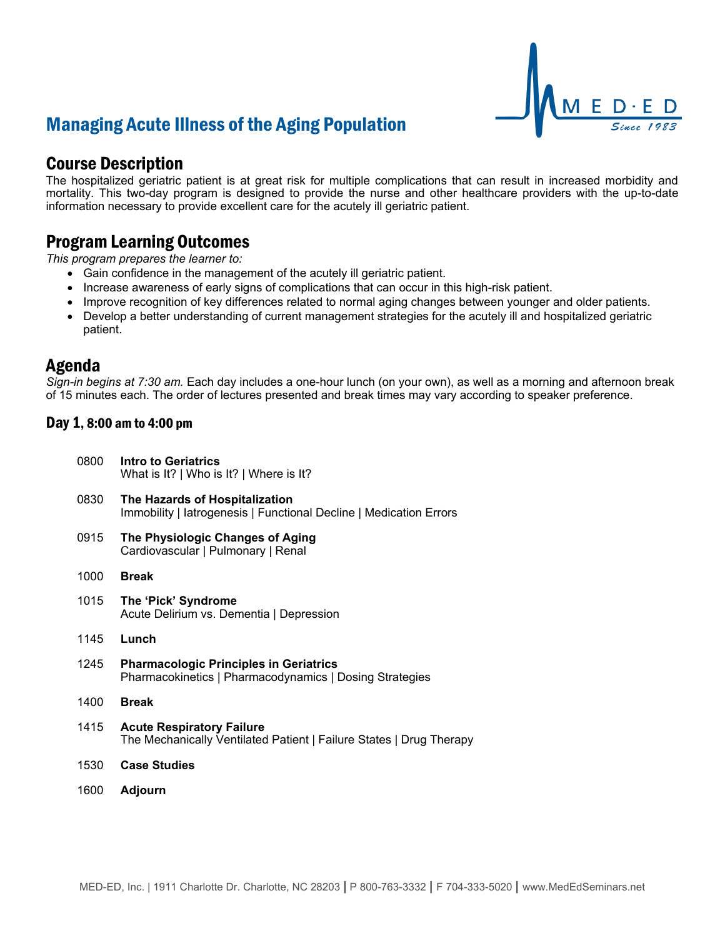# Managing Acute Illness of the Aging Population



## Course Description

The hospitalized geriatric patient is at great risk for multiple complications that can result in increased morbidity and mortality. This two-day program is designed to provide the nurse and other healthcare providers with the up-to-date information necessary to provide excellent care for the acutely ill geriatric patient.

## Program Learning Outcomes

*This program prepares the learner to:*

- Gain confidence in the management of the acutely ill geriatric patient.
- Increase awareness of early signs of complications that can occur in this high-risk patient.
- Improve recognition of key differences related to normal aging changes between younger and older patients.
- Develop a better understanding of current management strategies for the acutely ill and hospitalized geriatric patient.

### Agenda

*Sign-in begins at 7:30 am.* Each day includes a one-hour lunch (on your own), as well as a morning and afternoon break of 15 minutes each. The order of lectures presented and break times may vary according to speaker preference.

### Day 1, 8:00 am to 4:00 pm

| 0800 | Intro to Geriatrics<br>What is It?   Who is It?   Where is It?                                           |
|------|----------------------------------------------------------------------------------------------------------|
| 0830 | The Hazards of Hospitalization<br>Immobility   latrogenesis   Functional Decline   Medication Errors     |
| 0915 | The Physiologic Changes of Aging<br>Cardiovascular   Pulmonary   Renal                                   |
| 1000 | <b>Break</b>                                                                                             |
| 1015 | The 'Pick' Syndrome<br>Acute Delirium vs. Dementia   Depression                                          |
| 1145 | Lunch                                                                                                    |
| 1245 | <b>Pharmacologic Principles in Geriatrics</b><br>Pharmacokinetics   Pharmacodynamics   Dosing Strategies |
| 1400 | <b>Break</b>                                                                                             |
| 1415 | <b>Acute Respiratory Failure</b><br>The Mechanically Ventilated Patient   Failure States   Drug Therapy  |
| 1530 | <b>Case Studies</b>                                                                                      |
| 1600 | Adjourn                                                                                                  |
|      |                                                                                                          |